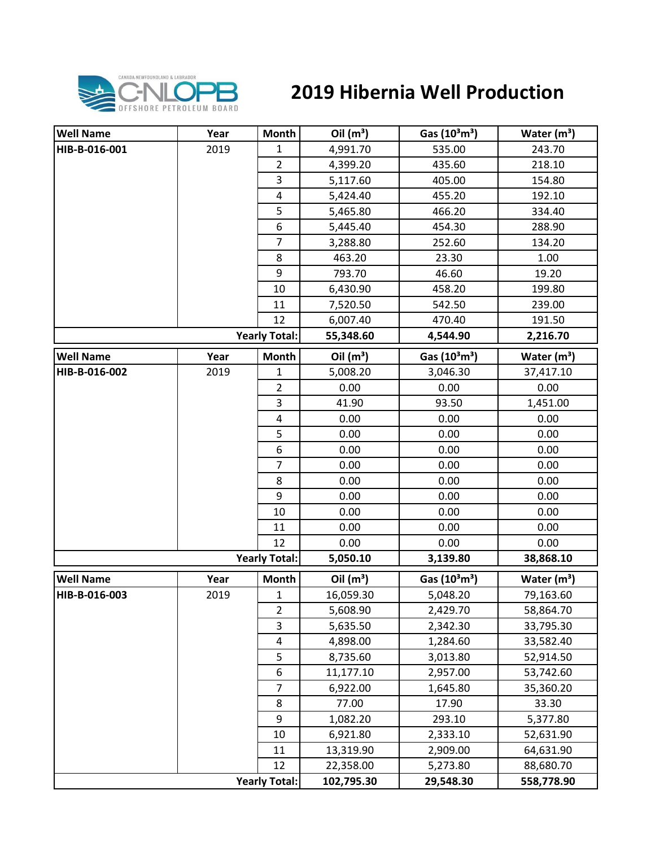

## **2019 Hibernia Well Production**

| <b>Well Name</b> | Year | Month                | Oil $(m^3)$ | Gas $(10^3 \text{m}^3)$               | Water $(m3)$  |
|------------------|------|----------------------|-------------|---------------------------------------|---------------|
| HIB-B-016-001    | 2019 | 1                    | 4,991.70    | 535.00                                | 243.70        |
|                  |      | $\overline{2}$       | 4,399.20    | 435.60                                | 218.10        |
|                  |      | 3                    | 5,117.60    | 405.00                                | 154.80        |
|                  |      | $\pmb{4}$            | 5,424.40    | 455.20                                | 192.10        |
|                  |      | 5                    | 5,465.80    | 466.20                                | 334.40        |
|                  |      | 6                    | 5,445.40    | 454.30                                | 288.90        |
|                  |      | $\overline{7}$       | 3,288.80    | 252.60                                | 134.20        |
|                  |      | 8                    | 463.20      | 23.30                                 | 1.00          |
|                  |      | 9                    | 793.70      | 46.60                                 | 19.20         |
|                  |      | 10                   | 6,430.90    | 458.20                                | 199.80        |
|                  |      | 11                   | 7,520.50    | 542.50                                | 239.00        |
|                  |      | 12                   | 6,007.40    | 470.40                                | 191.50        |
|                  |      | <b>Yearly Total:</b> | 55,348.60   | 4,544.90                              | 2,216.70      |
| <b>Well Name</b> | Year | <b>Month</b>         | Oil $(m^3)$ | Gas (10 <sup>3</sup> m <sup>3</sup> ) | Water $(m^3)$ |
| HIB-B-016-002    | 2019 | 1                    | 5,008.20    | 3,046.30                              | 37,417.10     |
|                  |      | $\overline{2}$       | 0.00        | 0.00                                  | 0.00          |
|                  |      | 3                    | 41.90       | 93.50                                 | 1,451.00      |
|                  |      | 4                    | 0.00        | 0.00                                  | 0.00          |
|                  |      | 5                    | 0.00        | 0.00                                  | 0.00          |
|                  |      | 6                    | 0.00        | 0.00                                  | 0.00          |
|                  |      | $\overline{7}$       | 0.00        | 0.00                                  | 0.00          |
|                  |      | 8                    | 0.00        | 0.00                                  | 0.00          |
|                  |      | 9                    | 0.00        | 0.00                                  | 0.00          |
|                  |      | 10                   | 0.00        | 0.00                                  | 0.00          |
|                  |      | 11                   | 0.00        | 0.00                                  | 0.00          |
|                  |      | 12                   | 0.00        | 0.00                                  | 0.00          |
|                  |      | <b>Yearly Total:</b> | 5,050.10    | 3,139.80                              | 38,868.10     |
| <b>Well Name</b> | Year | <b>Month</b>         | Oil $(m^3)$ | Gas $(10^3 \text{m}^3)$               | Water $(m3)$  |
| HIB-B-016-003    | 2019 | $\mathbf{1}$         | 16,059.30   | 5,048.20                              | 79,163.60     |
|                  |      | $\overline{2}$       | 5,608.90    | 2,429.70                              | 58,864.70     |
|                  |      | 3                    | 5,635.50    | 2,342.30                              | 33,795.30     |
|                  |      | 4                    | 4,898.00    | 1,284.60                              | 33,582.40     |
|                  |      | 5                    | 8,735.60    | 3,013.80                              | 52,914.50     |
|                  |      | 6                    | 11,177.10   | 2,957.00                              | 53,742.60     |
|                  |      | $\overline{7}$       | 6,922.00    | 1,645.80                              | 35,360.20     |
|                  |      | 8                    | 77.00       | 17.90                                 | 33.30         |
|                  |      | 9                    | 1,082.20    | 293.10                                | 5,377.80      |
|                  |      | 10                   | 6,921.80    | 2,333.10                              | 52,631.90     |
|                  |      | 11                   | 13,319.90   | 2,909.00                              | 64,631.90     |
|                  |      | 12                   | 22,358.00   | 5,273.80                              | 88,680.70     |
|                  |      | <b>Yearly Total:</b> | 102,795.30  | 29,548.30                             | 558,778.90    |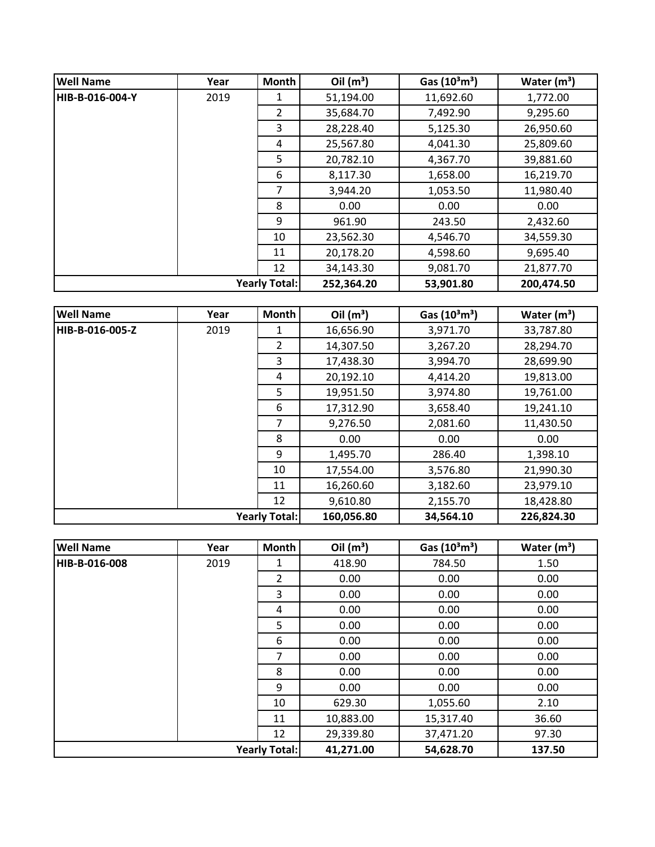| <b>Well Name</b> | Year                 | <b>Month</b>  | Oil $(m^3)$ | Gas $(10^3 \text{m}^3)$ | Water $(m^3)$ |
|------------------|----------------------|---------------|-------------|-------------------------|---------------|
| HIB-B-016-004-Y  | 2019                 | 1             | 51,194.00   | 11,692.60               | 1,772.00      |
|                  |                      | $\mathcal{P}$ | 35,684.70   | 7,492.90                | 9,295.60      |
|                  |                      | 3             | 28,228.40   | 5,125.30                | 26,950.60     |
|                  |                      | 4             | 25,567.80   | 4,041.30                | 25,809.60     |
|                  |                      | 5             | 20,782.10   | 4,367.70                | 39,881.60     |
|                  |                      | 6             | 8,117.30    | 1,658.00                | 16,219.70     |
|                  |                      | 7             | 3,944.20    | 1,053.50                | 11,980.40     |
|                  |                      | 8             | 0.00        | 0.00                    | 0.00          |
|                  |                      | 9             | 961.90      | 243.50                  | 2,432.60      |
|                  |                      | 10            | 23,562.30   | 4,546.70                | 34,559.30     |
|                  |                      | 11            | 20,178.20   | 4,598.60                | 9,695.40      |
|                  |                      | 12            | 34,143.30   | 9,081.70                | 21,877.70     |
|                  | <b>Yearly Total:</b> |               | 252,364.20  | 53,901.80               | 200,474.50    |

| <b>Well Name</b>     | Year | <b>Month</b>   | Oil $(m^3)$ | Gas $(10^3 \text{m}^3)$ | Water $(m^3)$ |
|----------------------|------|----------------|-------------|-------------------------|---------------|
| HIB-B-016-005-Z      | 2019 | 1              | 16,656.90   | 3,971.70                | 33,787.80     |
|                      |      | $\mathfrak{D}$ | 14,307.50   | 3,267.20                | 28,294.70     |
|                      |      | 3              | 17,438.30   | 3,994.70                | 28,699.90     |
|                      |      | 4              | 20,192.10   | 4,414.20                | 19,813.00     |
|                      |      | 5              | 19,951.50   | 3,974.80                | 19,761.00     |
|                      |      | 6              | 17,312.90   | 3,658.40                | 19,241.10     |
|                      |      | 7              | 9,276.50    | 2,081.60                | 11,430.50     |
|                      |      | 8              | 0.00        | 0.00                    | 0.00          |
|                      |      | 9              | 1,495.70    | 286.40                  | 1,398.10      |
|                      |      | 10             | 17,554.00   | 3,576.80                | 21,990.30     |
|                      |      | 11             | 16,260.60   | 3,182.60                | 23,979.10     |
|                      |      | 12             | 9,610.80    | 2,155.70                | 18,428.80     |
| <b>Yearly Total:</b> |      | 160,056.80     | 34,564.10   | 226,824.30              |               |

| <b>Well Name</b>     | Year | Month          | Oil $(m^3)$ | Gas $(10^3 \text{m}^3)$ | Water $(m^3)$ |
|----------------------|------|----------------|-------------|-------------------------|---------------|
| HIB-B-016-008        | 2019 | 1              | 418.90      | 784.50                  | 1.50          |
|                      |      | $\overline{2}$ | 0.00        | 0.00                    | 0.00          |
|                      |      | 3              | 0.00        | 0.00                    | 0.00          |
|                      |      | 4              | 0.00        | 0.00                    | 0.00          |
|                      |      | 5              | 0.00        | 0.00                    | 0.00          |
|                      |      | 6              | 0.00        | 0.00                    | 0.00          |
|                      |      | 7              | 0.00        | 0.00                    | 0.00          |
|                      |      | 8              | 0.00        | 0.00                    | 0.00          |
|                      |      | 9              | 0.00        | 0.00                    | 0.00          |
|                      |      | 10             | 629.30      | 1,055.60                | 2.10          |
|                      |      | 11             | 10,883.00   | 15,317.40               | 36.60         |
|                      |      | 12             | 29,339.80   | 37,471.20               | 97.30         |
| <b>Yearly Total:</b> |      |                | 41,271.00   | 54,628.70               | 137.50        |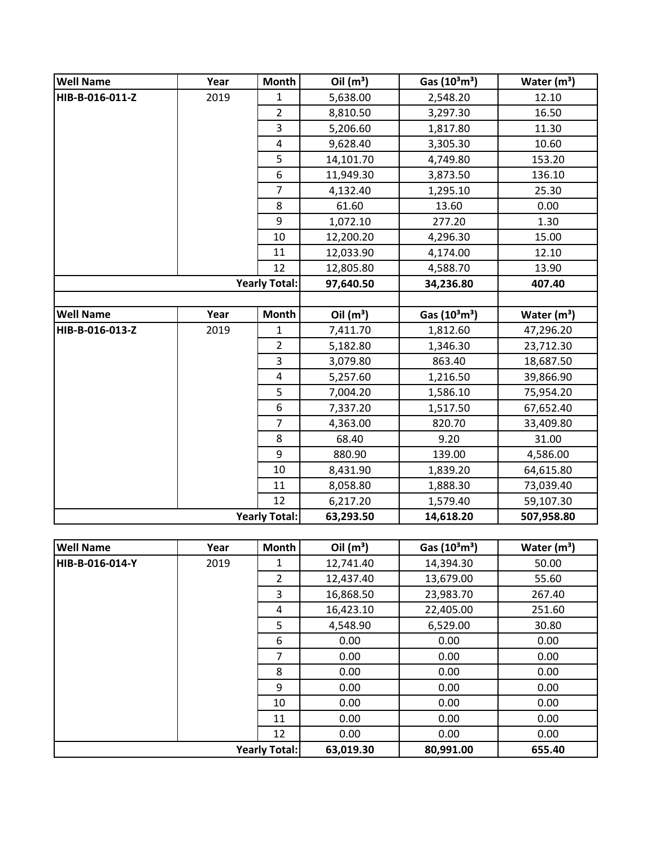| <b>Well Name</b> | Year | <b>Month</b>            | Oil $(m^3)$ | Gas (10 <sup>3</sup> m <sup>3</sup> ) | Water $(m^3)$ |
|------------------|------|-------------------------|-------------|---------------------------------------|---------------|
| HIB-B-016-011-Z  | 2019 | $\mathbf{1}$            | 5,638.00    | 2,548.20                              | 12.10         |
|                  |      | $\overline{2}$          | 8,810.50    | 3,297.30                              | 16.50         |
|                  |      | 3                       | 5,206.60    | 1,817.80                              | 11.30         |
|                  |      | 4                       | 9,628.40    | 3,305.30                              | 10.60         |
|                  |      | 5                       | 14,101.70   | 4,749.80                              | 153.20        |
|                  |      | 6                       | 11,949.30   | 3,873.50                              | 136.10        |
|                  |      | $\overline{7}$          | 4,132.40    | 1,295.10                              | 25.30         |
|                  |      | 8                       | 61.60       | 13.60                                 | 0.00          |
|                  |      | 9                       | 1,072.10    | 277.20                                | 1.30          |
|                  |      | 10                      | 12,200.20   | 4,296.30                              | 15.00         |
|                  |      | 11                      | 12,033.90   | 4,174.00                              | 12.10         |
|                  |      | 12                      | 12,805.80   | 4,588.70                              | 13.90         |
|                  |      | <b>Yearly Total:</b>    | 97,640.50   | 34,236.80                             | 407.40        |
|                  |      |                         |             |                                       |               |
| <b>Well Name</b> | Year | <b>Month</b>            | Oil $(m^3)$ | Gas (10 <sup>3</sup> m <sup>3</sup> ) | Water $(m^3)$ |
| HIB-B-016-013-Z  | 2019 | 1                       | 7,411.70    | 1,812.60                              | 47,296.20     |
|                  |      | $\overline{2}$          | 5,182.80    | 1,346.30                              | 23,712.30     |
|                  |      | 3                       | 3,079.80    | 863.40                                | 18,687.50     |
|                  |      | $\overline{\mathbf{4}}$ | 5,257.60    | 1,216.50                              | 39,866.90     |
|                  |      | 5                       | 7,004.20    | 1,586.10                              | 75,954.20     |
|                  |      | 6                       | 7,337.20    | 1,517.50                              | 67,652.40     |
|                  |      | $\overline{7}$          | 4,363.00    | 820.70                                | 33,409.80     |
|                  |      | 8                       | 68.40       | 9.20                                  | 31.00         |
|                  |      | 9                       | 880.90      | 139.00                                | 4,586.00      |
|                  |      | 10                      | 8,431.90    | 1,839.20                              | 64,615.80     |
|                  |      | 11                      | 8,058.80    | 1,888.30                              | 73,039.40     |
|                  |      | 12                      | 6,217.20    | 1,579.40                              | 59,107.30     |
|                  |      | <b>Yearly Total:</b>    | 63,293.50   | 14,618.20                             | 507,958.80    |
|                  |      |                         |             |                                       |               |
| <b>Well Name</b> | Year | <b>Month</b>            | Oil $(m^3)$ | Gas (10 <sup>3</sup> m <sup>3</sup> ) | Water $(m^3)$ |
| HIB-B-016-014-Y  | 2019 | 1                       | 12,741.40   | 14,394.30                             | 50.00         |
|                  |      | $\overline{2}$          | 12,437.40   | 13,679.00                             | 55.60         |
|                  |      | 3                       | 16,868.50   | 23,983.70                             | 267.40        |
|                  |      | 4                       | 16,423.10   | 22,405.00                             | 251.60        |
|                  |      | 5                       | 4,548.90    | 6,529.00                              | 30.80         |
|                  |      | 6                       | 0.00        | 0.00                                  | 0.00          |
|                  |      | $\overline{7}$          | 0.00        | 0.00                                  | 0.00          |
|                  |      | 8                       | 0.00        | 0.00                                  | 0.00          |
|                  |      | 9                       | 0.00        | 0.00                                  | 0.00          |
|                  |      | 10                      | 0.00        | 0.00                                  | 0.00          |
|                  |      | 11                      | 0.00        | 0.00                                  | 0.00          |
|                  |      | 12                      | 0.00        | 0.00                                  | 0.00          |
|                  |      | <b>Yearly Total:</b>    | 63,019.30   | 80,991.00                             | 655.40        |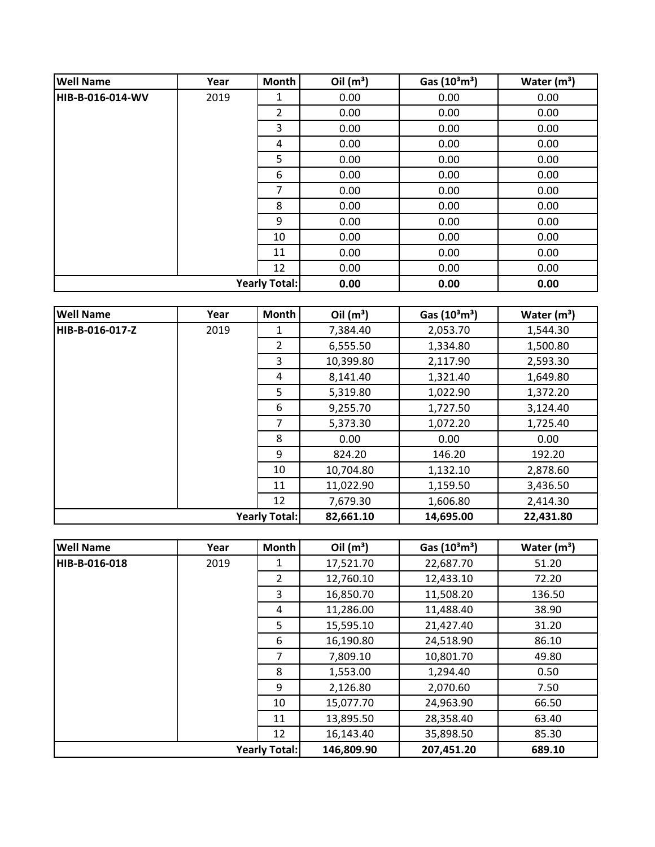| <b>Well Name</b> | Year                 | <b>Month</b>   | Oil $(m^3)$ | Gas $(10^3 \text{m}^3)$ | Water $(m^3)$ |
|------------------|----------------------|----------------|-------------|-------------------------|---------------|
| HIB-B-016-014-WV | 2019                 | 1              | 0.00        | 0.00                    | 0.00          |
|                  |                      | $\overline{2}$ | 0.00        | 0.00                    | 0.00          |
|                  |                      | 3              | 0.00        | 0.00                    | 0.00          |
|                  |                      | 4              | 0.00        | 0.00                    | 0.00          |
|                  |                      | 5              | 0.00        | 0.00                    | 0.00          |
|                  |                      | 6              | 0.00        | 0.00                    | 0.00          |
|                  |                      | 7              | 0.00        | 0.00                    | 0.00          |
|                  |                      | 8              | 0.00        | 0.00                    | 0.00          |
|                  |                      | 9              | 0.00        | 0.00                    | 0.00          |
|                  |                      | 10             | 0.00        | 0.00                    | 0.00          |
|                  |                      | 11             | 0.00        | 0.00                    | 0.00          |
|                  |                      | 12             | 0.00        | 0.00                    | 0.00          |
|                  | <b>Yearly Total:</b> |                | 0.00        | 0.00                    | 0.00          |

| <b>Well Name</b>     | Year | Month          | Oil $(m^3)$ | Gas $(10^3 \text{m}^3)$ | Water $(m^3)$ |
|----------------------|------|----------------|-------------|-------------------------|---------------|
| HIB-B-016-017-Z      | 2019 | 1              | 7,384.40    | 2,053.70                | 1,544.30      |
|                      |      | $\overline{2}$ | 6,555.50    | 1,334.80                | 1,500.80      |
|                      |      | 3              | 10,399.80   | 2,117.90                | 2,593.30      |
|                      |      | 4              | 8,141.40    | 1,321.40                | 1,649.80      |
|                      |      | 5              | 5,319.80    | 1,022.90                | 1,372.20      |
|                      |      | 6              | 9,255.70    | 1,727.50                | 3,124.40      |
|                      |      | $\overline{7}$ | 5,373.30    | 1,072.20                | 1,725.40      |
|                      |      | 8              | 0.00        | 0.00                    | 0.00          |
|                      |      | 9              | 824.20      | 146.20                  | 192.20        |
|                      |      | 10             | 10,704.80   | 1,132.10                | 2,878.60      |
|                      |      | 11             | 11,022.90   | 1,159.50                | 3,436.50      |
|                      |      | 12             | 7,679.30    | 1,606.80                | 2,414.30      |
| <b>Yearly Total:</b> |      |                | 82,661.10   | 14,695.00               | 22,431.80     |

| <b>Well Name</b>     | Year | <b>Month</b>   | Oil $(m^3)$ | Gas $(10^3 \text{m}^3)$ | Water $(m^3)$ |
|----------------------|------|----------------|-------------|-------------------------|---------------|
| HIB-B-016-018        | 2019 | 1              | 17,521.70   | 22,687.70               | 51.20         |
|                      |      | $\overline{2}$ | 12,760.10   | 12,433.10               | 72.20         |
|                      |      | 3              | 16,850.70   | 11,508.20               | 136.50        |
|                      |      | 4              | 11,286.00   | 11,488.40               | 38.90         |
|                      |      | 5.             | 15,595.10   | 21,427.40               | 31.20         |
|                      |      | 6              | 16,190.80   | 24,518.90               | 86.10         |
|                      |      | 7              | 7,809.10    | 10,801.70               | 49.80         |
|                      |      | 8              | 1,553.00    | 1,294.40                | 0.50          |
|                      |      | 9              | 2,126.80    | 2,070.60                | 7.50          |
|                      |      | 10             | 15,077.70   | 24,963.90               | 66.50         |
|                      |      | 11             | 13,895.50   | 28,358.40               | 63.40         |
|                      |      | 12             | 16,143.40   | 35,898.50               | 85.30         |
| <b>Yearly Total:</b> |      |                | 146,809.90  | 207,451.20              | 689.10        |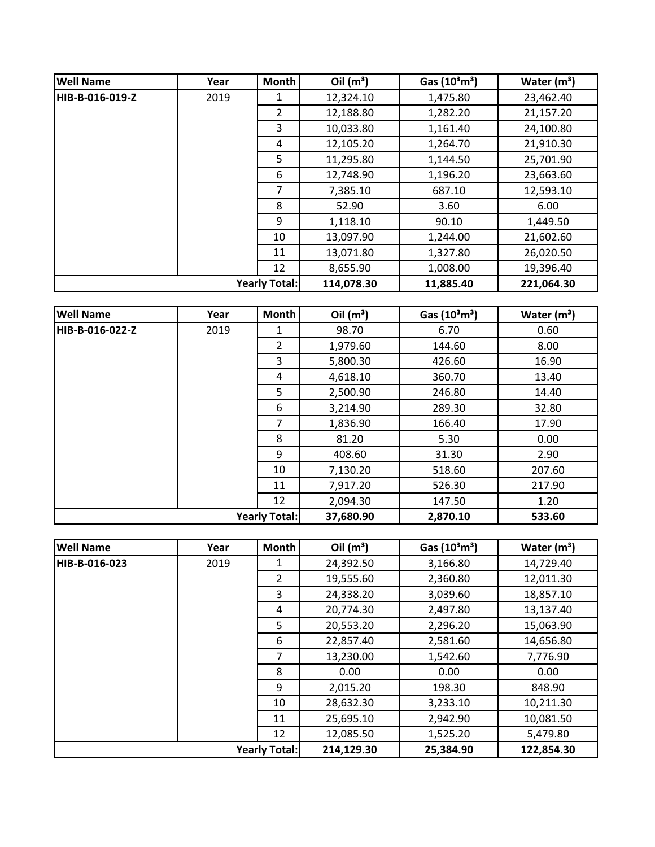| <b>Well Name</b>     | Year | Month          | Oil $(m^3)$ | Gas $(10^3 \text{m}^3)$ | Water $(m^3)$ |
|----------------------|------|----------------|-------------|-------------------------|---------------|
| HIB-B-016-019-Z      | 2019 | 1              | 12,324.10   | 1,475.80                | 23,462.40     |
|                      |      | $\overline{2}$ | 12,188.80   | 1,282.20                | 21,157.20     |
|                      |      | 3              | 10,033.80   | 1,161.40                | 24,100.80     |
|                      |      | 4              | 12,105.20   | 1,264.70                | 21,910.30     |
|                      |      | 5              | 11,295.80   | 1,144.50                | 25,701.90     |
|                      |      | 6              | 12,748.90   | 1,196.20                | 23,663.60     |
|                      |      | 7              | 7,385.10    | 687.10                  | 12,593.10     |
|                      |      | 8              | 52.90       | 3.60                    | 6.00          |
|                      |      | 9              | 1,118.10    | 90.10                   | 1,449.50      |
|                      |      | 10             | 13,097.90   | 1,244.00                | 21,602.60     |
|                      |      | 11             | 13,071.80   | 1,327.80                | 26,020.50     |
|                      |      | 12             | 8,655.90    | 1,008.00                | 19,396.40     |
| <b>Yearly Total:</b> |      | 114,078.30     | 11,885.40   | 221,064.30              |               |

| <b>Well Name</b>     | Year | Month          | Oil $(m^3)$ | Gas $(10^3 \text{m}^3)$ | Water $(m^3)$ |
|----------------------|------|----------------|-------------|-------------------------|---------------|
| HIB-B-016-022-Z      | 2019 | 1              | 98.70       | 6.70                    | 0.60          |
|                      |      | $\overline{2}$ | 1,979.60    | 144.60                  | 8.00          |
|                      |      | 3              | 5,800.30    | 426.60                  | 16.90         |
|                      |      | 4              | 4,618.10    | 360.70                  | 13.40         |
|                      |      | 5              | 2,500.90    | 246.80                  | 14.40         |
|                      |      | 6              | 3,214.90    | 289.30                  | 32.80         |
|                      |      | 7              | 1,836.90    | 166.40                  | 17.90         |
|                      |      | 8              | 81.20       | 5.30                    | 0.00          |
|                      |      | 9              | 408.60      | 31.30                   | 2.90          |
|                      |      | 10             | 7,130.20    | 518.60                  | 207.60        |
|                      |      | 11             | 7,917.20    | 526.30                  | 217.90        |
|                      |      | 12             | 2,094.30    | 147.50                  | 1.20          |
| <b>Yearly Total:</b> |      |                | 37,680.90   | 2,870.10                | 533.60        |

| <b>Well Name</b>     | Year | <b>Month</b>   | Oil $(m^3)$ | Gas $(10^3 \text{m}^3)$ | Water $(m^3)$ |
|----------------------|------|----------------|-------------|-------------------------|---------------|
| HIB-B-016-023        | 2019 | 1              | 24,392.50   | 3,166.80                | 14,729.40     |
|                      |      | $\overline{2}$ | 19,555.60   | 2,360.80                | 12,011.30     |
|                      |      | 3              | 24,338.20   | 3,039.60                | 18,857.10     |
|                      |      | 4              | 20,774.30   | 2,497.80                | 13,137.40     |
|                      |      | 5              | 20,553.20   | 2,296.20                | 15,063.90     |
|                      |      | 6              | 22,857.40   | 2,581.60                | 14,656.80     |
|                      |      | 7              | 13,230.00   | 1,542.60                | 7,776.90      |
|                      |      | 8              | 0.00        | 0.00                    | 0.00          |
|                      |      | 9              | 2,015.20    | 198.30                  | 848.90        |
|                      |      | 10             | 28,632.30   | 3,233.10                | 10,211.30     |
|                      |      | 11             | 25,695.10   | 2,942.90                | 10,081.50     |
|                      |      | 12             | 12,085.50   | 1,525.20                | 5,479.80      |
| <b>Yearly Total:</b> |      |                | 214,129.30  | 25,384.90               | 122,854.30    |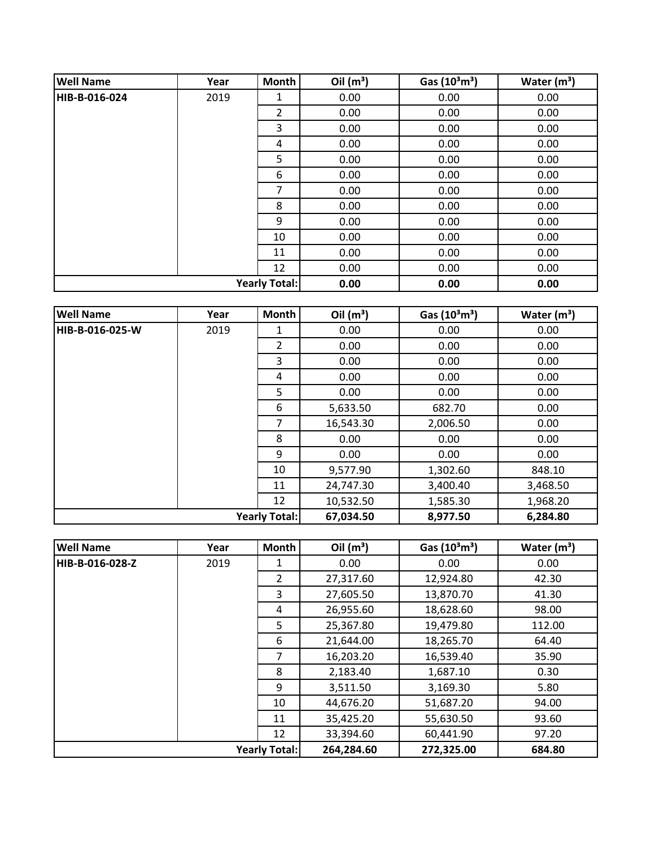| <b>Well Name</b> | Year                 | Month          | Oil $(m^3)$ | Gas $(10^3 \text{m}^3)$ | Water $(m^3)$ |
|------------------|----------------------|----------------|-------------|-------------------------|---------------|
| HIB-B-016-024    | 2019                 | 1              | 0.00        | 0.00                    | 0.00          |
|                  |                      | $\overline{2}$ | 0.00        | 0.00                    | 0.00          |
|                  |                      | 3              | 0.00        | 0.00                    | 0.00          |
|                  |                      | 4              | 0.00        | 0.00                    | 0.00          |
|                  |                      | 5              | 0.00        | 0.00                    | 0.00          |
|                  |                      | 6              | 0.00        | 0.00                    | 0.00          |
|                  |                      | 7              | 0.00        | 0.00                    | 0.00          |
|                  |                      | 8              | 0.00        | 0.00                    | 0.00          |
|                  |                      | 9              | 0.00        | 0.00                    | 0.00          |
|                  |                      | 10             | 0.00        | 0.00                    | 0.00          |
|                  |                      | 11             | 0.00        | 0.00                    | 0.00          |
|                  |                      | 12             | 0.00        | 0.00                    | 0.00          |
|                  | <b>Yearly Total:</b> |                | 0.00        | 0.00                    | 0.00          |

| <b>Well Name</b> | Year | <b>Month</b>         | Oil $(m^3)$ | Gas $(10^3 \text{m}^3)$ | Water $(m^3)$ |
|------------------|------|----------------------|-------------|-------------------------|---------------|
| HIB-B-016-025-W  | 2019 | 1                    | 0.00        | 0.00                    | 0.00          |
|                  |      | $\overline{2}$       | 0.00        | 0.00                    | 0.00          |
|                  |      | 3                    | 0.00        | 0.00                    | 0.00          |
|                  |      | 4                    | 0.00        | 0.00                    | 0.00          |
|                  |      | 5                    | 0.00        | 0.00                    | 0.00          |
|                  |      | 6                    | 5,633.50    | 682.70                  | 0.00          |
|                  |      | $\overline{7}$       | 16,543.30   | 2,006.50                | 0.00          |
|                  |      | 8                    | 0.00        | 0.00                    | 0.00          |
|                  |      | 9                    | 0.00        | 0.00                    | 0.00          |
|                  |      | 10                   | 9,577.90    | 1,302.60                | 848.10        |
|                  |      | 11                   | 24,747.30   | 3,400.40                | 3,468.50      |
|                  |      | 12                   | 10,532.50   | 1,585.30                | 1,968.20      |
|                  |      | <b>Yearly Total:</b> | 67,034.50   | 8,977.50                | 6,284.80      |

| <b>Well Name</b>     | Year | <b>Month</b>   | Oil $(m^3)$ | Gas $(10^3 \text{m}^3)$ | Water $(m^3)$ |
|----------------------|------|----------------|-------------|-------------------------|---------------|
| HIB-B-016-028-Z      | 2019 |                | 0.00        | 0.00                    | 0.00          |
|                      |      | $\overline{2}$ | 27,317.60   | 12,924.80               | 42.30         |
|                      |      | 3              | 27,605.50   | 13,870.70               | 41.30         |
|                      |      | 4              | 26,955.60   | 18,628.60               | 98.00         |
|                      |      | 5              | 25,367.80   | 19,479.80               | 112.00        |
|                      |      | 6              | 21,644.00   | 18,265.70               | 64.40         |
|                      |      | $\overline{7}$ | 16,203.20   | 16,539.40               | 35.90         |
|                      |      | 8              | 2,183.40    | 1,687.10                | 0.30          |
|                      |      | 9              | 3,511.50    | 3,169.30                | 5.80          |
|                      |      | 10             | 44,676.20   | 51,687.20               | 94.00         |
|                      |      | 11             | 35,425.20   | 55,630.50               | 93.60         |
|                      |      | 12             | 33,394.60   | 60,441.90               | 97.20         |
| <b>Yearly Total:</b> |      |                | 264,284.60  | 272,325.00              | 684.80        |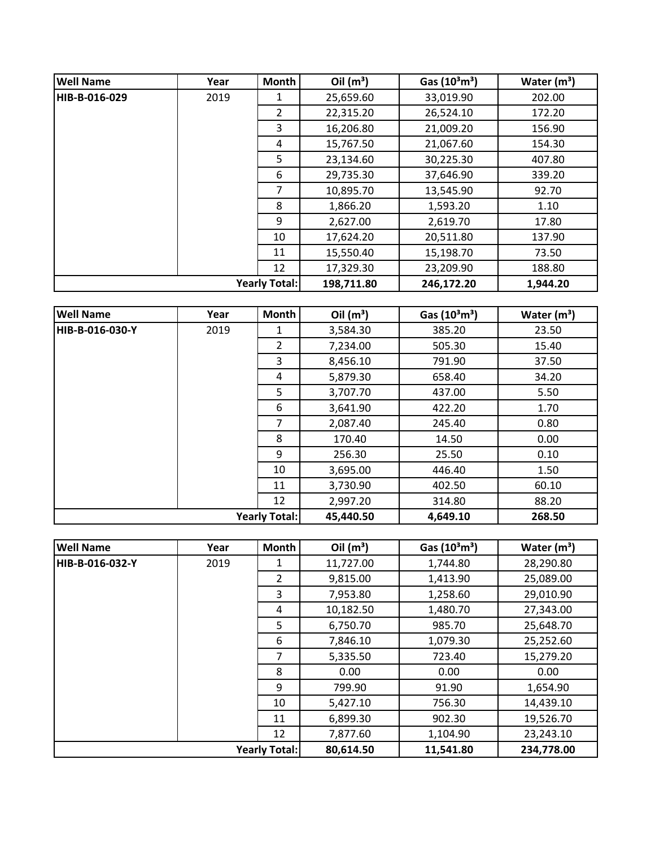| <b>Well Name</b> | Year                 | Month          | Oil $(m^3)$ | Gas $(10^3 \text{m}^3)$ | Water $(m^3)$ |
|------------------|----------------------|----------------|-------------|-------------------------|---------------|
| HIB-B-016-029    | 2019                 | 1              | 25,659.60   | 33,019.90               | 202.00        |
|                  |                      | $\overline{2}$ | 22,315.20   | 26,524.10               | 172.20        |
|                  |                      | 3              | 16,206.80   | 21,009.20               | 156.90        |
|                  |                      | 4              | 15,767.50   | 21,067.60               | 154.30        |
|                  |                      | 5              | 23,134.60   | 30,225.30               | 407.80        |
|                  |                      | 6              | 29,735.30   | 37,646.90               | 339.20        |
|                  |                      | 7              | 10,895.70   | 13,545.90               | 92.70         |
|                  |                      | 8              | 1,866.20    | 1,593.20                | 1.10          |
|                  |                      | 9              | 2,627.00    | 2,619.70                | 17.80         |
|                  |                      | 10             | 17,624.20   | 20,511.80               | 137.90        |
|                  |                      | 11             | 15,550.40   | 15,198.70               | 73.50         |
|                  |                      | 12             | 17,329.30   | 23,209.90               | 188.80        |
|                  | <b>Yearly Total:</b> |                | 198,711.80  | 246,172.20              | 1,944.20      |

| <b>Well Name</b>     | Year | Month          | Oil $(m^3)$ | Gas $(10^3 \text{m}^3)$ | Water $(m^3)$ |
|----------------------|------|----------------|-------------|-------------------------|---------------|
| НІВ-В-016-030-Y      | 2019 | 1              | 3,584.30    | 385.20                  | 23.50         |
|                      |      | $\overline{2}$ | 7,234.00    | 505.30                  | 15.40         |
|                      |      | 3              | 8,456.10    | 791.90                  | 37.50         |
|                      |      | 4              | 5,879.30    | 658.40                  | 34.20         |
|                      |      | 5              | 3,707.70    | 437.00                  | 5.50          |
|                      |      | 6              | 3,641.90    | 422.20                  | 1.70          |
|                      |      | $\overline{7}$ | 2,087.40    | 245.40                  | 0.80          |
|                      |      | 8              | 170.40      | 14.50                   | 0.00          |
|                      |      | 9              | 256.30      | 25.50                   | 0.10          |
|                      |      | 10             | 3,695.00    | 446.40                  | 1.50          |
|                      |      | 11             | 3,730.90    | 402.50                  | 60.10         |
|                      |      | 12             | 2,997.20    | 314.80                  | 88.20         |
| <b>Yearly Total:</b> |      |                | 45,440.50   | 4,649.10                | 268.50        |

| <b>Well Name</b>     | Year | <b>Month</b>   | Oil $(m^3)$ | Gas $(10^3 \text{m}^3)$ | Water $(m^3)$ |
|----------------------|------|----------------|-------------|-------------------------|---------------|
| HIB-B-016-032-Y      | 2019 |                | 11,727.00   | 1,744.80                | 28,290.80     |
|                      |      | $\overline{2}$ | 9,815.00    | 1,413.90                | 25,089.00     |
|                      |      | 3              | 7,953.80    | 1,258.60                | 29,010.90     |
|                      |      | 4              | 10,182.50   | 1,480.70                | 27,343.00     |
|                      |      | 5              | 6,750.70    | 985.70                  | 25,648.70     |
|                      |      | 6              | 7,846.10    | 1,079.30                | 25,252.60     |
|                      |      | $\overline{7}$ | 5,335.50    | 723.40                  | 15,279.20     |
|                      |      | 8              | 0.00        | 0.00                    | 0.00          |
|                      |      | 9              | 799.90      | 91.90                   | 1,654.90      |
|                      |      | 10             | 5,427.10    | 756.30                  | 14,439.10     |
|                      |      | 11             | 6,899.30    | 902.30                  | 19,526.70     |
|                      |      | 12             | 7,877.60    | 1,104.90                | 23,243.10     |
| <b>Yearly Total:</b> |      |                | 80,614.50   | 11,541.80               | 234,778.00    |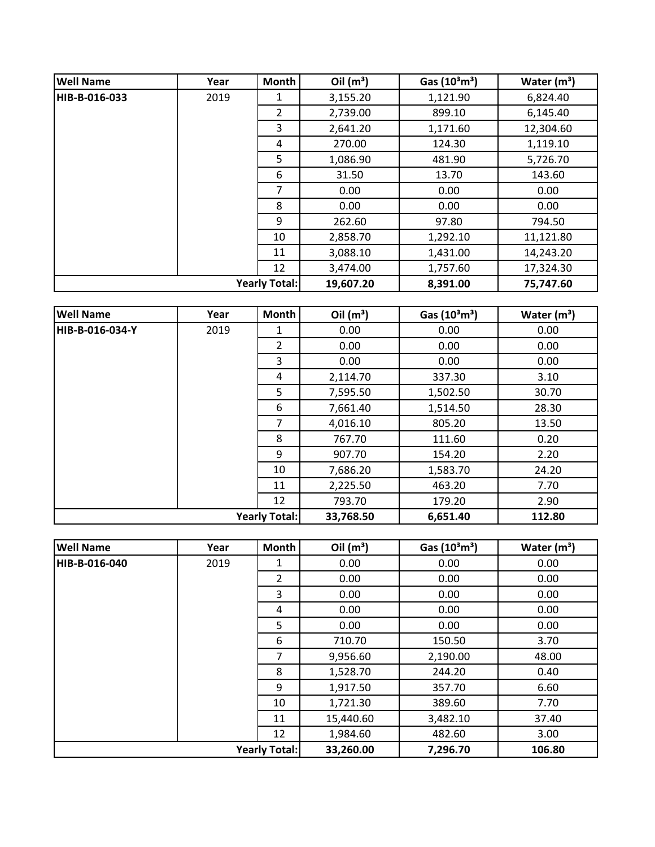| <b>Well Name</b>     | Year | Month          | Oil $(m^3)$ | Gas $(10^3 \text{m}^3)$ | Water $(m^3)$ |
|----------------------|------|----------------|-------------|-------------------------|---------------|
| HIB-B-016-033        | 2019 | 1              | 3,155.20    | 1,121.90                | 6,824.40      |
|                      |      | $\overline{2}$ | 2,739.00    | 899.10                  | 6,145.40      |
|                      |      | 3              | 2,641.20    | 1,171.60                | 12,304.60     |
|                      |      | 4              | 270.00      | 124.30                  | 1,119.10      |
|                      |      | 5              | 1,086.90    | 481.90                  | 5,726.70      |
|                      |      | 6              | 31.50       | 13.70                   | 143.60        |
|                      |      | 7              | 0.00        | 0.00                    | 0.00          |
|                      |      | 8              | 0.00        | 0.00                    | 0.00          |
|                      |      | 9              | 262.60      | 97.80                   | 794.50        |
|                      |      | 10             | 2,858.70    | 1,292.10                | 11,121.80     |
|                      |      | 11             | 3,088.10    | 1,431.00                | 14,243.20     |
|                      |      | 12             | 3,474.00    | 1,757.60                | 17,324.30     |
| <b>Yearly Total:</b> |      | 19,607.20      | 8,391.00    | 75,747.60               |               |

| <b>Well Name</b>     | Year | Month          | Oil $(m^3)$ | Gas $(10^3 \text{m}^3)$ | Water $(m^3)$ |
|----------------------|------|----------------|-------------|-------------------------|---------------|
| HIB-B-016-034-Y      | 2019 | 1              | 0.00        | 0.00                    | 0.00          |
|                      |      | $\overline{2}$ | 0.00        | 0.00                    | 0.00          |
|                      |      | 3              | 0.00        | 0.00                    | 0.00          |
|                      |      | 4              | 2,114.70    | 337.30                  | 3.10          |
|                      |      | 5              | 7,595.50    | 1,502.50                | 30.70         |
|                      |      | 6              | 7,661.40    | 1,514.50                | 28.30         |
|                      |      | $\overline{7}$ | 4,016.10    | 805.20                  | 13.50         |
|                      |      | 8              | 767.70      | 111.60                  | 0.20          |
|                      |      | 9              | 907.70      | 154.20                  | 2.20          |
|                      |      | 10             | 7,686.20    | 1,583.70                | 24.20         |
|                      |      | 11             | 2,225.50    | 463.20                  | 7.70          |
|                      |      | 12             | 793.70      | 179.20                  | 2.90          |
| <b>Yearly Total:</b> |      |                | 33,768.50   | 6,651.40                | 112.80        |

| <b>Well Name</b>     | Year | Month          | Oil $(m^3)$ | Gas $(10^3 \text{m}^3)$ | Water $(m^3)$ |
|----------------------|------|----------------|-------------|-------------------------|---------------|
| HIB-B-016-040        | 2019 | 1              | 0.00        | 0.00                    | 0.00          |
|                      |      | $\overline{2}$ | 0.00        | 0.00                    | 0.00          |
|                      |      | 3              | 0.00        | 0.00                    | 0.00          |
|                      |      | 4              | 0.00        | 0.00                    | 0.00          |
|                      |      | 5              | 0.00        | 0.00                    | 0.00          |
|                      |      | 6              | 710.70      | 150.50                  | 3.70          |
|                      |      | 7              | 9,956.60    | 2,190.00                | 48.00         |
|                      |      | 8              | 1,528.70    | 244.20                  | 0.40          |
|                      |      | 9              | 1,917.50    | 357.70                  | 6.60          |
|                      |      | 10             | 1,721.30    | 389.60                  | 7.70          |
|                      |      | 11             | 15,440.60   | 3,482.10                | 37.40         |
|                      |      | 12             | 1,984.60    | 482.60                  | 3.00          |
| <b>Yearly Total:</b> |      |                | 33,260.00   | 7,296.70                | 106.80        |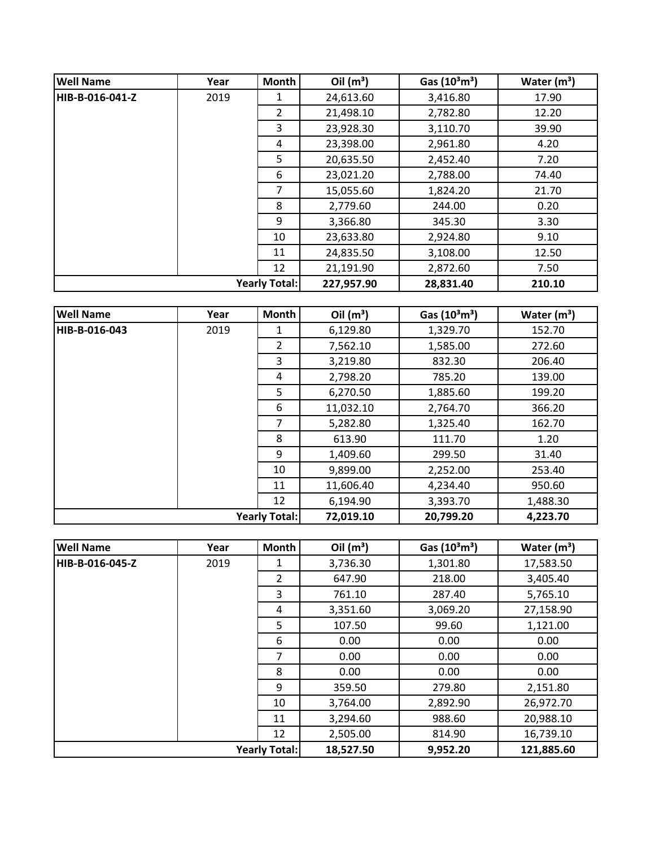| <b>Well Name</b> | Year                 | Month          | Oil $(m^3)$ | Gas $(10^3 \text{m}^3)$ | Water $(m^3)$ |
|------------------|----------------------|----------------|-------------|-------------------------|---------------|
| HIB-B-016-041-Z  | 2019                 | 1              | 24,613.60   | 3,416.80                | 17.90         |
|                  |                      | $\overline{2}$ | 21,498.10   | 2,782.80                | 12.20         |
|                  |                      | 3              | 23,928.30   | 3,110.70                | 39.90         |
|                  |                      | 4              | 23,398.00   | 2,961.80                | 4.20          |
|                  |                      | 5              | 20,635.50   | 2,452.40                | 7.20          |
|                  |                      | 6              | 23,021.20   | 2,788.00                | 74.40         |
|                  |                      | 7              | 15,055.60   | 1,824.20                | 21.70         |
|                  |                      | 8              | 2,779.60    | 244.00                  | 0.20          |
|                  |                      | 9              | 3,366.80    | 345.30                  | 3.30          |
|                  |                      | 10             | 23,633.80   | 2,924.80                | 9.10          |
|                  |                      | 11             | 24,835.50   | 3,108.00                | 12.50         |
|                  |                      | 12             | 21,191.90   | 2,872.60                | 7.50          |
|                  | <b>Yearly Total:</b> |                | 227,957.90  | 28,831.40               | 210.10        |

| <b>Well Name</b>     | Year | Month          | Oil $(m^3)$ | Gas $(10^3 \text{m}^3)$ | Water $(m^3)$ |
|----------------------|------|----------------|-------------|-------------------------|---------------|
| HIB-B-016-043        | 2019 | 1              | 6,129.80    | 1,329.70                | 152.70        |
|                      |      | $\overline{2}$ | 7,562.10    | 1,585.00                | 272.60        |
|                      |      | 3              | 3,219.80    | 832.30                  | 206.40        |
|                      |      | 4              | 2,798.20    | 785.20                  | 139.00        |
|                      |      | 5              | 6,270.50    | 1,885.60                | 199.20        |
|                      |      | 6              | 11,032.10   | 2,764.70                | 366.20        |
|                      |      | $\overline{7}$ | 5,282.80    | 1,325.40                | 162.70        |
|                      |      | 8              | 613.90      | 111.70                  | 1.20          |
|                      |      | 9              | 1,409.60    | 299.50                  | 31.40         |
|                      |      | 10             | 9,899.00    | 2,252.00                | 253.40        |
|                      |      | 11             | 11,606.40   | 4,234.40                | 950.60        |
|                      |      | 12             | 6,194.90    | 3,393.70                | 1,488.30      |
| <b>Yearly Total:</b> |      |                | 72,019.10   | 20,799.20               | 4,223.70      |

| <b>Well Name</b>     | Year | <b>Month</b>   | Oil $(m^3)$ | Gas $(10^3 \text{m}^3)$ | Water $(m^3)$ |
|----------------------|------|----------------|-------------|-------------------------|---------------|
| HIB-B-016-045-Z      | 2019 | 1              | 3,736.30    | 1,301.80                | 17,583.50     |
|                      |      | $\overline{2}$ | 647.90      | 218.00                  | 3,405.40      |
|                      |      | 3              | 761.10      | 287.40                  | 5,765.10      |
|                      |      | 4              | 3,351.60    | 3,069.20                | 27,158.90     |
|                      |      | 5              | 107.50      | 99.60                   | 1,121.00      |
|                      |      | 6              | 0.00        | 0.00                    | 0.00          |
|                      |      | 7              | 0.00        | 0.00                    | 0.00          |
|                      |      | 8              | 0.00        | 0.00                    | 0.00          |
|                      |      | 9              | 359.50      | 279.80                  | 2,151.80      |
|                      |      | 10             | 3,764.00    | 2,892.90                | 26,972.70     |
|                      |      | 11             | 3,294.60    | 988.60                  | 20,988.10     |
|                      |      | 12             | 2,505.00    | 814.90                  | 16,739.10     |
| <b>Yearly Total:</b> |      |                | 18,527.50   | 9,952.20                | 121,885.60    |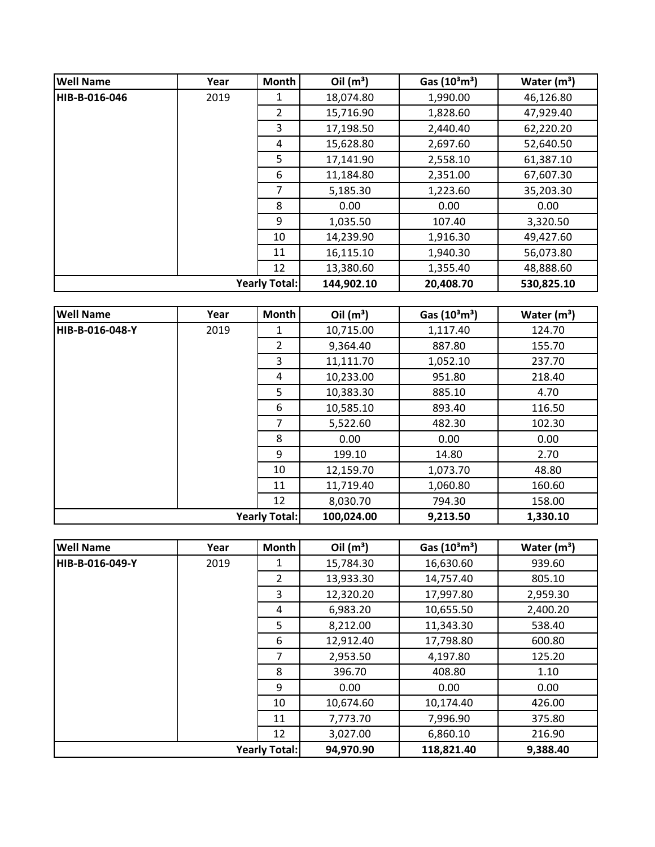| <b>Well Name</b> | Year                 | Month          | Oil $(m^3)$ | Gas $(10^3 \text{m}^3)$ | Water $(m^3)$ |
|------------------|----------------------|----------------|-------------|-------------------------|---------------|
| HIB-B-016-046    | 2019                 | 1              | 18,074.80   | 1,990.00                | 46,126.80     |
|                  |                      | $\overline{2}$ | 15,716.90   | 1,828.60                | 47,929.40     |
|                  |                      | 3              | 17,198.50   | 2,440.40                | 62,220.20     |
|                  |                      | 4              | 15,628.80   | 2,697.60                | 52,640.50     |
|                  |                      | 5              | 17,141.90   | 2,558.10                | 61,387.10     |
|                  |                      | 6              | 11,184.80   | 2,351.00                | 67,607.30     |
|                  |                      | 7              | 5,185.30    | 1,223.60                | 35,203.30     |
|                  |                      | 8              | 0.00        | 0.00                    | 0.00          |
|                  |                      | 9              | 1,035.50    | 107.40                  | 3,320.50      |
|                  |                      | 10             | 14,239.90   | 1,916.30                | 49,427.60     |
|                  |                      | 11             | 16,115.10   | 1,940.30                | 56,073.80     |
|                  |                      | 12             | 13,380.60   | 1,355.40                | 48,888.60     |
|                  | <b>Yearly Total:</b> |                | 144,902.10  | 20,408.70               | 530,825.10    |

| <b>Well Name</b> | Year | <b>Month</b>         | Oil $(m^3)$ | Gas $(10^3 \text{m}^3)$ | Water $(m^3)$ |
|------------------|------|----------------------|-------------|-------------------------|---------------|
| IHIB-B-016-048-Y | 2019 | 1                    | 10,715.00   | 1,117.40                | 124.70        |
|                  |      | 2                    | 9,364.40    | 887.80                  | 155.70        |
|                  |      | 3                    | 11,111.70   | 1,052.10                | 237.70        |
|                  |      | 4                    | 10,233.00   | 951.80                  | 218.40        |
|                  |      | 5                    | 10,383.30   | 885.10                  | 4.70          |
|                  |      | 6                    | 10,585.10   | 893.40                  | 116.50        |
|                  |      | 7                    | 5,522.60    | 482.30                  | 102.30        |
|                  |      | 8                    | 0.00        | 0.00                    | 0.00          |
|                  |      | 9                    | 199.10      | 14.80                   | 2.70          |
|                  |      | 10                   | 12,159.70   | 1,073.70                | 48.80         |
|                  |      | 11                   | 11,719.40   | 1,060.80                | 160.60        |
|                  |      | 12                   | 8,030.70    | 794.30                  | 158.00        |
|                  |      | <b>Yearly Total:</b> | 100,024.00  | 9,213.50                | 1,330.10      |

| <b>Well Name</b>     | Year | <b>Month</b>   | Oil $(m^3)$ | Gas $(10^3 \text{m}^3)$ | Water $(m^3)$ |
|----------------------|------|----------------|-------------|-------------------------|---------------|
| HIB-B-016-049-Y      | 2019 |                | 15,784.30   | 16,630.60               | 939.60        |
|                      |      | $\overline{2}$ | 13,933.30   | 14,757.40               | 805.10        |
|                      |      | 3              | 12,320.20   | 17,997.80               | 2,959.30      |
|                      |      | 4              | 6,983.20    | 10,655.50               | 2,400.20      |
|                      |      | 5              | 8,212.00    | 11,343.30               | 538.40        |
|                      |      | 6              | 12,912.40   | 17,798.80               | 600.80        |
|                      |      | $\overline{7}$ | 2,953.50    | 4,197.80                | 125.20        |
|                      |      | 8              | 396.70      | 408.80                  | 1.10          |
|                      |      | 9              | 0.00        | 0.00                    | 0.00          |
|                      |      | 10             | 10,674.60   | 10,174.40               | 426.00        |
|                      |      | 11             | 7,773.70    | 7,996.90                | 375.80        |
|                      |      | 12             | 3,027.00    | 6,860.10                | 216.90        |
| <b>Yearly Total:</b> |      |                | 94,970.90   | 118,821.40              | 9,388.40      |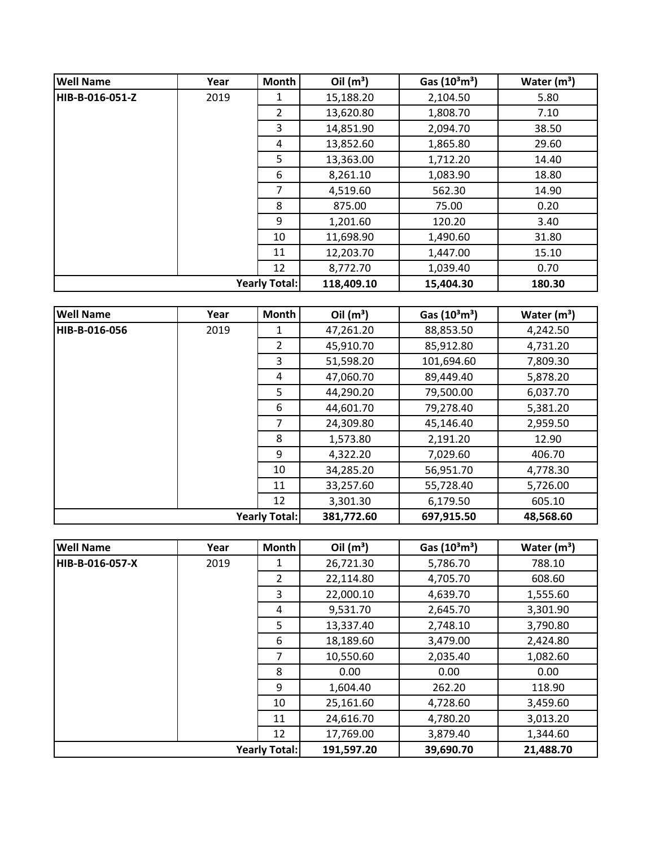| <b>Well Name</b> | Year | <b>Month</b>         | Oil $(m^3)$ | Gas $(10^3 \text{m}^3)$ | Water $(m^3)$ |
|------------------|------|----------------------|-------------|-------------------------|---------------|
| HIB-B-016-051-Z  | 2019 | 1                    | 15,188.20   | 2,104.50                | 5.80          |
|                  |      | $\overline{2}$       | 13,620.80   | 1,808.70                | 7.10          |
|                  |      | 3                    | 14,851.90   | 2,094.70                | 38.50         |
|                  |      | 4                    | 13,852.60   | 1,865.80                | 29.60         |
|                  |      | 5                    | 13,363.00   | 1,712.20                | 14.40         |
|                  |      | 6                    | 8,261.10    | 1,083.90                | 18.80         |
|                  |      | 7                    | 4,519.60    | 562.30                  | 14.90         |
|                  |      | 8                    | 875.00      | 75.00                   | 0.20          |
|                  |      | 9                    | 1,201.60    | 120.20                  | 3.40          |
|                  |      | 10                   | 11,698.90   | 1,490.60                | 31.80         |
|                  |      | 11                   | 12,203.70   | 1,447.00                | 15.10         |
|                  |      | 12                   | 8,772.70    | 1,039.40                | 0.70          |
|                  |      | <b>Yearly Total:</b> | 118,409.10  | 15,404.30               | 180.30        |

| <b>Well Name</b> | Year | <b>Month</b>         | Oil $(m^3)$ | Gas $(10^3 \text{m}^3)$ | Water $(m^3)$ |
|------------------|------|----------------------|-------------|-------------------------|---------------|
| HIB-B-016-056    | 2019 | 1                    | 47,261.20   | 88,853.50               | 4,242.50      |
|                  |      | $\overline{2}$       | 45,910.70   | 85,912.80               | 4,731.20      |
|                  |      | 3                    | 51,598.20   | 101,694.60              | 7,809.30      |
|                  |      | 4                    | 47,060.70   | 89,449.40               | 5,878.20      |
|                  |      | 5                    | 44,290.20   | 79,500.00               | 6,037.70      |
|                  |      | 6                    | 44,601.70   | 79,278.40               | 5,381.20      |
|                  |      | $\overline{7}$       | 24,309.80   | 45,146.40               | 2,959.50      |
|                  |      | 8                    | 1,573.80    | 2,191.20                | 12.90         |
|                  |      | 9                    | 4,322.20    | 7,029.60                | 406.70        |
|                  |      | 10                   | 34,285.20   | 56,951.70               | 4,778.30      |
|                  |      | 11                   | 33,257.60   | 55,728.40               | 5,726.00      |
|                  |      | 12                   | 3,301.30    | 6,179.50                | 605.10        |
|                  |      | <b>Yearly Total:</b> | 381,772.60  | 697,915.50              | 48,568.60     |

| <b>Well Name</b>     | Year | <b>Month</b>   | Oil $(m^3)$ | Gas $(10^3 \text{m}^3)$ | Water $(m^3)$ |
|----------------------|------|----------------|-------------|-------------------------|---------------|
| HIB-B-016-057-X      | 2019 | 1              | 26,721.30   | 5,786.70                | 788.10        |
|                      |      | $\overline{2}$ | 22,114.80   | 4,705.70                | 608.60        |
|                      |      | 3              | 22,000.10   | 4,639.70                | 1,555.60      |
|                      |      | 4              | 9,531.70    | 2,645.70                | 3,301.90      |
|                      |      | 5              | 13,337.40   | 2,748.10                | 3,790.80      |
|                      |      | 6              | 18,189.60   | 3,479.00                | 2,424.80      |
|                      |      | 7              | 10,550.60   | 2,035.40                | 1,082.60      |
|                      |      | 8              | 0.00        | 0.00                    | 0.00          |
|                      |      | 9              | 1,604.40    | 262.20                  | 118.90        |
|                      |      | 10             | 25,161.60   | 4,728.60                | 3,459.60      |
|                      |      | 11             | 24,616.70   | 4,780.20                | 3,013.20      |
|                      |      | 12             | 17,769.00   | 3,879.40                | 1,344.60      |
| <b>Yearly Total:</b> |      |                | 191,597.20  | 39,690.70               | 21,488.70     |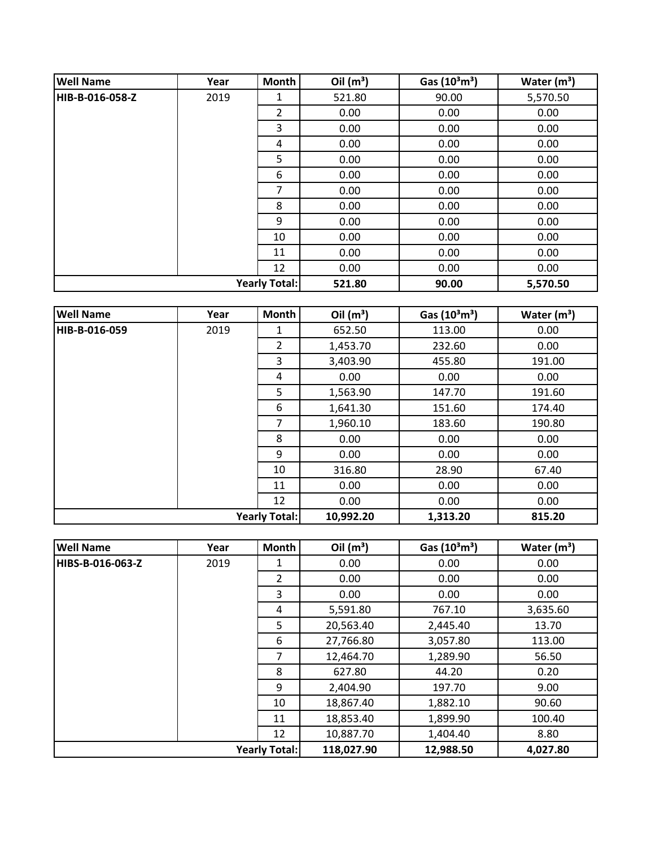| <b>Well Name</b> | Year | Month                | Oil $(m^3)$ | Gas $(10^3 \text{m}^3)$ | Water $(m^3)$ |
|------------------|------|----------------------|-------------|-------------------------|---------------|
| HIB-B-016-058-Z  | 2019 | 1                    | 521.80      | 90.00                   | 5,570.50      |
|                  |      | 2                    | 0.00        | 0.00                    | 0.00          |
|                  |      | 3                    | 0.00        | 0.00                    | 0.00          |
|                  |      | 4                    | 0.00        | 0.00                    | 0.00          |
|                  |      | 5                    | 0.00        | 0.00                    | 0.00          |
|                  |      | 6                    | 0.00        | 0.00                    | 0.00          |
|                  |      | 7                    | 0.00        | 0.00                    | 0.00          |
|                  |      | 8                    | 0.00        | 0.00                    | 0.00          |
|                  |      | 9                    | 0.00        | 0.00                    | 0.00          |
|                  |      | 10                   | 0.00        | 0.00                    | 0.00          |
|                  |      | 11                   | 0.00        | 0.00                    | 0.00          |
|                  |      | 12                   | 0.00        | 0.00                    | 0.00          |
|                  |      | <b>Yearly Total:</b> | 521.80      | 90.00                   | 5,570.50      |

| <b>Well Name</b> | Year | <b>Month</b>         | Oil $(m^3)$ | Gas $(10^3 \text{m}^3)$ | Water $(m3)$ |
|------------------|------|----------------------|-------------|-------------------------|--------------|
| HIB-B-016-059    | 2019 | 1                    | 652.50      | 113.00                  | 0.00         |
|                  |      | $\overline{2}$       | 1,453.70    | 232.60                  | 0.00         |
|                  |      | 3                    | 3,403.90    | 455.80                  | 191.00       |
|                  |      | 4                    | 0.00        | 0.00                    | 0.00         |
|                  |      | 5                    | 1,563.90    | 147.70                  | 191.60       |
|                  |      | 6                    | 1,641.30    | 151.60                  | 174.40       |
|                  |      | $\overline{7}$       | 1,960.10    | 183.60                  | 190.80       |
|                  |      | 8                    | 0.00        | 0.00                    | 0.00         |
|                  |      | 9                    | 0.00        | 0.00                    | 0.00         |
|                  |      | 10                   | 316.80      | 28.90                   | 67.40        |
|                  |      | 11                   | 0.00        | 0.00                    | 0.00         |
|                  |      | 12                   | 0.00        | 0.00                    | 0.00         |
|                  |      | <b>Yearly Total:</b> | 10,992.20   | 1,313.20                | 815.20       |

| <b>Well Name</b>     | Year | <b>Month</b>   | Oil $(m^3)$ | Gas $(10^3 \text{m}^3)$ | Water $(m^3)$ |
|----------------------|------|----------------|-------------|-------------------------|---------------|
| HIBS-B-016-063-Z     | 2019 | 1              | 0.00        | 0.00                    | 0.00          |
|                      |      | $\overline{2}$ | 0.00        | 0.00                    | 0.00          |
|                      |      | 3              | 0.00        | 0.00                    | 0.00          |
|                      |      | 4              | 5,591.80    | 767.10                  | 3,635.60      |
|                      |      | 5              | 20,563.40   | 2,445.40                | 13.70         |
|                      |      | 6              | 27,766.80   | 3,057.80                | 113.00        |
|                      |      | $\overline{7}$ | 12,464.70   | 1,289.90                | 56.50         |
|                      |      | 8              | 627.80      | 44.20                   | 0.20          |
|                      |      | 9              | 2,404.90    | 197.70                  | 9.00          |
|                      |      | 10             | 18,867.40   | 1,882.10                | 90.60         |
|                      |      | 11             | 18,853.40   | 1,899.90                | 100.40        |
|                      |      | 12             | 10,887.70   | 1,404.40                | 8.80          |
| <b>Yearly Total:</b> |      |                | 118,027.90  | 12,988.50               | 4,027.80      |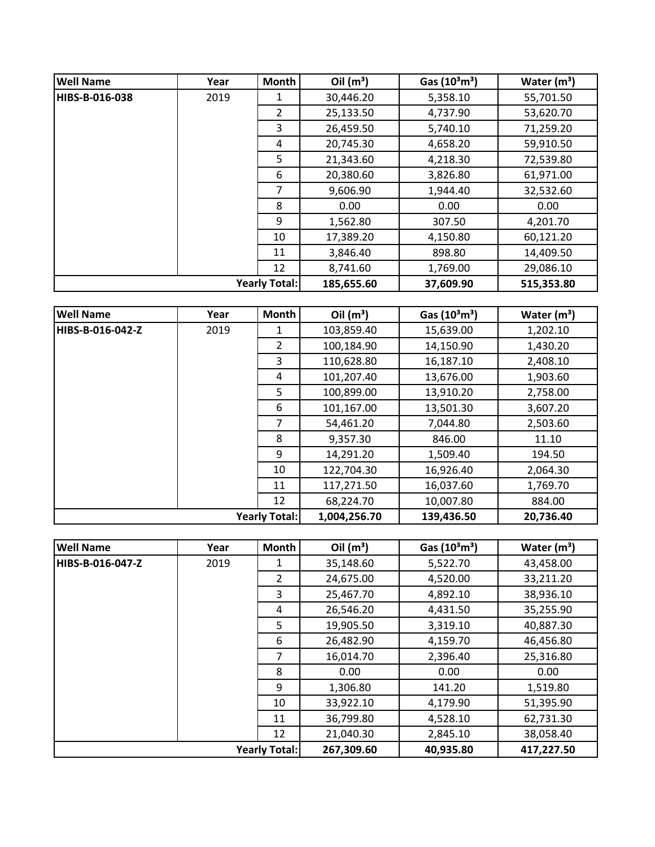| <b>Well Name</b> | Year | <b>Month</b>         | Oil $(m^3)$ | Gas $(10^3 \text{m}^3)$ | Water $(m^3)$ |
|------------------|------|----------------------|-------------|-------------------------|---------------|
| HIBS-B-016-038   | 2019 | 1                    | 30,446.20   | 5,358.10                | 55,701.50     |
|                  |      | 2                    | 25,133.50   | 4,737.90                | 53,620.70     |
|                  |      | 3                    | 26,459.50   | 5,740.10                | 71,259.20     |
|                  |      | 4                    | 20,745.30   | 4,658.20                | 59,910.50     |
|                  |      | 5.                   | 21,343.60   | 4,218.30                | 72,539.80     |
|                  |      | 6                    | 20,380.60   | 3,826.80                | 61,971.00     |
|                  |      | 7                    | 9,606.90    | 1,944.40                | 32,532.60     |
|                  |      | 8                    | 0.00        | 0.00                    | 0.00          |
|                  |      | 9                    | 1,562.80    | 307.50                  | 4,201.70      |
|                  |      | 10                   | 17,389.20   | 4,150.80                | 60,121.20     |
|                  |      | 11                   | 3,846.40    | 898.80                  | 14,409.50     |
|                  |      | 12                   | 8,741.60    | 1,769.00                | 29,086.10     |
|                  |      | <b>Yearly Total:</b> | 185,655.60  | 37,609.90               | 515,353.80    |

| <b>Well Name</b>     | Year | Month | Oil $(m^3)$  | Gas $(10^3 \text{m}^3)$ | Water $(m^3)$ |
|----------------------|------|-------|--------------|-------------------------|---------------|
| HIBS-B-016-042-Z     | 2019 | 1     | 103,859.40   | 15,639.00               | 1,202.10      |
|                      |      | 2     | 100,184.90   | 14,150.90               | 1,430.20      |
|                      |      | 3     | 110,628.80   | 16,187.10               | 2,408.10      |
|                      |      | 4     | 101,207.40   | 13,676.00               | 1,903.60      |
|                      |      | 5     | 100,899.00   | 13,910.20               | 2,758.00      |
|                      |      | 6     | 101,167.00   | 13,501.30               | 3,607.20      |
|                      |      | 7     | 54,461.20    | 7,044.80                | 2,503.60      |
|                      |      | 8     | 9,357.30     | 846.00                  | 11.10         |
|                      |      | 9     | 14,291.20    | 1,509.40                | 194.50        |
|                      |      | 10    | 122,704.30   | 16,926.40               | 2,064.30      |
|                      |      | 11    | 117,271.50   | 16,037.60               | 1,769.70      |
|                      |      | 12    | 68,224.70    | 10,007.80               | 884.00        |
| <b>Yearly Total:</b> |      |       | 1,004,256.70 | 139,436.50              | 20,736.40     |

| <b>Well Name</b>     | Year | Month          | Oil $(m^3)$ | Gas $(10^3 \text{m}^3)$ | Water $(m^3)$ |
|----------------------|------|----------------|-------------|-------------------------|---------------|
| HIBS-B-016-047-Z     | 2019 |                | 35,148.60   | 5,522.70                | 43,458.00     |
|                      |      | $\overline{2}$ | 24,675.00   | 4,520.00                | 33,211.20     |
|                      |      | 3              | 25,467.70   | 4,892.10                | 38,936.10     |
|                      |      | 4              | 26,546.20   | 4,431.50                | 35,255.90     |
|                      |      | 5              | 19,905.50   | 3,319.10                | 40,887.30     |
|                      |      | 6              | 26,482.90   | 4,159.70                | 46,456.80     |
|                      |      | 7              | 16,014.70   | 2,396.40                | 25,316.80     |
|                      |      | 8              | 0.00        | 0.00                    | 0.00          |
|                      |      | 9              | 1,306.80    | 141.20                  | 1,519.80      |
|                      |      | 10             | 33,922.10   | 4,179.90                | 51,395.90     |
|                      |      | 11             | 36,799.80   | 4,528.10                | 62,731.30     |
|                      |      | 12             | 21,040.30   | 2,845.10                | 38,058.40     |
| <b>Yearly Total:</b> |      |                | 267,309.60  | 40,935.80               | 417,227.50    |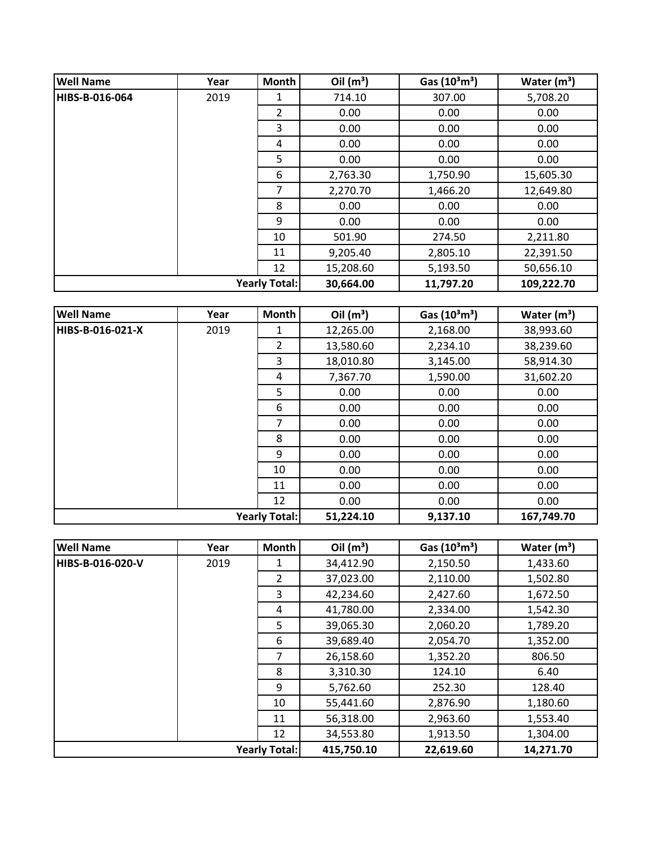| <b>Well Name</b>     | Year | <b>Month</b>   | Oil $(m^3)$ | Gas $(10^3 \text{m}^3)$ | Water $(m^3)$ |
|----------------------|------|----------------|-------------|-------------------------|---------------|
| HIBS-B-016-064       | 2019 | 1              | 714.10      | 307.00                  | 5,708.20      |
|                      |      | $\overline{2}$ | 0.00        | 0.00                    | 0.00          |
|                      |      | 3              | 0.00        | 0.00                    | 0.00          |
|                      |      | 4              | 0.00        | 0.00                    | 0.00          |
|                      |      | 5              | 0.00        | 0.00                    | 0.00          |
|                      |      | 6              | 2,763.30    | 1,750.90                | 15,605.30     |
|                      |      | 7              | 2,270.70    | 1,466.20                | 12,649.80     |
|                      |      | 8              | 0.00        | 0.00                    | 0.00          |
|                      |      | 9              | 0.00        | 0.00                    | 0.00          |
|                      |      | 10             | 501.90      | 274.50                  | 2,211.80      |
|                      |      | 11             | 9,205.40    | 2,805.10                | 22,391.50     |
|                      |      | 12             | 15,208.60   | 5,193.50                | 50,656.10     |
| <b>Yearly Total:</b> |      |                | 30,664.00   | 11,797.20               | 109,222.70    |

| <b>Well Name</b>     | Year | Month          | Oil $(m^3)$ | Gas (10 <sup>3</sup> m <sup>3</sup> ) | Water $(m^3)$ |
|----------------------|------|----------------|-------------|---------------------------------------|---------------|
| HIBS-B-016-021-X     | 2019 | 1              | 12,265.00   | 2,168.00                              | 38,993.60     |
|                      |      | $\overline{2}$ | 13,580.60   | 2,234.10                              | 38,239.60     |
|                      |      | 3              | 18,010.80   | 3,145.00                              | 58,914.30     |
|                      |      | 4              | 7,367.70    | 1,590.00                              | 31,602.20     |
|                      |      | 5              | 0.00        | 0.00                                  | 0.00          |
|                      |      | 6              | 0.00        | 0.00                                  | 0.00          |
|                      |      | 7              | 0.00        | 0.00                                  | 0.00          |
|                      |      | 8              | 0.00        | 0.00                                  | 0.00          |
|                      |      | 9              | 0.00        | 0.00                                  | 0.00          |
|                      |      | 10             | 0.00        | 0.00                                  | 0.00          |
|                      |      | 11             | 0.00        | 0.00                                  | 0.00          |
|                      |      | 12             | 0.00        | 0.00                                  | 0.00          |
| <b>Yearly Total:</b> |      | 51,224.10      | 9,137.10    | 167,749.70                            |               |

| <b>Well Name</b>     | Year | Month          | Oil $(m^3)$ | Gas $(10^3 \text{m}^3)$ | Water $(m^3)$ |
|----------------------|------|----------------|-------------|-------------------------|---------------|
| HIBS-B-016-020-V     | 2019 | 1              | 34,412.90   | 2,150.50                | 1,433.60      |
|                      |      | $\overline{2}$ | 37,023.00   | 2,110.00                | 1,502.80      |
|                      |      | 3              | 42,234.60   | 2,427.60                | 1,672.50      |
|                      |      | 4              | 41,780.00   | 2,334.00                | 1,542.30      |
|                      |      | 5              | 39,065.30   | 2,060.20                | 1,789.20      |
|                      |      | 6              | 39,689.40   | 2,054.70                | 1,352.00      |
|                      |      | 7              | 26,158.60   | 1,352.20                | 806.50        |
|                      |      | 8              | 3,310.30    | 124.10                  | 6.40          |
|                      |      | 9              | 5,762.60    | 252.30                  | 128.40        |
|                      |      | 10             | 55,441.60   | 2,876.90                | 1,180.60      |
|                      |      | 11             | 56,318.00   | 2,963.60                | 1,553.40      |
|                      |      | 12             | 34,553.80   | 1,913.50                | 1,304.00      |
| <b>Yearly Total:</b> |      | 415,750.10     | 22,619.60   | 14,271.70               |               |